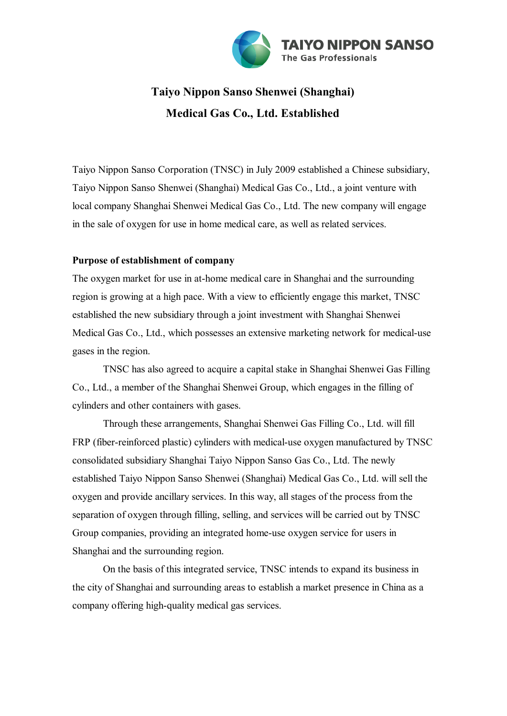

## **Taiyo Nippon Sanso Shenwei (Shanghai) Medical Gas Co., Ltd. Established**

Taiyo Nippon Sanso Corporation (TNSC) in July 2009 established a Chinese subsidiary, Taiyo Nippon Sanso Shenwei (Shanghai) Medical Gas Co., Ltd., a joint venture with local company Shanghai Shenwei Medical Gas Co., Ltd. The new company will engage in the sale of oxygen for use in home medical care, as well as related services.

## **Purpose of establishment of company**

The oxygen market for use in at-home medical care in Shanghai and the surrounding region is growing at a high pace. With a view to efficiently engage this market, TNSC established the new subsidiary through a joint investment with Shanghai Shenwei Medical Gas Co., Ltd., which possesses an extensive marketing network for medical-use gases in the region.

TNSC has also agreed to acquire a capital stake in Shanghai Shenwei Gas Filling Co., Ltd., a member of the Shanghai Shenwei Group, which engages in the filling of cylinders and other containers with gases.

Through these arrangements, Shanghai Shenwei Gas Filling Co., Ltd. will fill FRP (fiber-reinforced plastic) cylinders with medical-use oxygen manufactured by TNSC consolidated subsidiary Shanghai Taiyo Nippon Sanso Gas Co., Ltd. The newly established Taiyo Nippon Sanso Shenwei (Shanghai) Medical Gas Co., Ltd. will sell the oxygen and provide ancillary services. In this way, all stages of the process from the separation of oxygen through filling, selling, and services will be carried out by TNSC Group companies, providing an integrated home-use oxygen service for users in Shanghai and the surrounding region.

On the basis of this integrated service, TNSC intends to expand its business in the city of Shanghai and surrounding areas to establish a market presence in China as a company offering high-quality medical gas services.